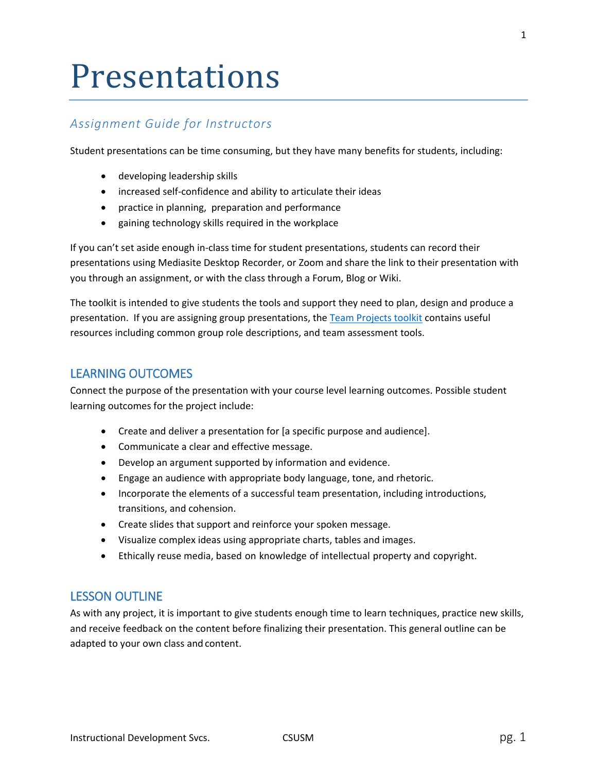# Presentations

## *Assignment Guide for Instructors*

Student presentations can be time consuming, but they have many benefits for students, including:

- developing leadership skills
- increased self-confidence and ability to articulate their ideas
- practice in planning, preparation and performance
- gaining technology skills required in the workplace

If you can't set aside enough in-class time for student presentations, students can record their presentations using Mediasite Desktop Recorder, or Zoom and share the link to their presentation with you through an assignment, or with the class through a Forum, Blog or Wiki.

The toolkit is intended to give students the tools and support they need to plan, design and produce a presentation. If you are assigning group presentations, the [Team Projects toolkit](https://www.csusm.edu/ids/course-design-and-instruction/active_learning/teams.html) contains useful resources including common group role descriptions, and team assessment tools.

#### LEARNING OUTCOMES

Connect the purpose of the presentation with your course level learning outcomes. Possible student learning outcomes for the project include:

- Create and deliver a presentation for [a specific purpose and audience].
- Communicate a clear and effective message.
- Develop an argument supported by information and evidence.
- Engage an audience with appropriate body language, tone, and rhetoric.
- Incorporate the elements of a successful team presentation, including introductions, transitions, and cohension.
- Create slides that support and reinforce your spoken message.
- Visualize complex ideas using appropriate charts, tables and images.
- Ethically reuse media, based on knowledge of intellectual property and copyright.

#### LESSON OUTLINE

As with any project, it is important to give students enough time to learn techniques, practice new skills, and receive feedback on the content before finalizing their presentation. This general outline can be adapted to your own class and content.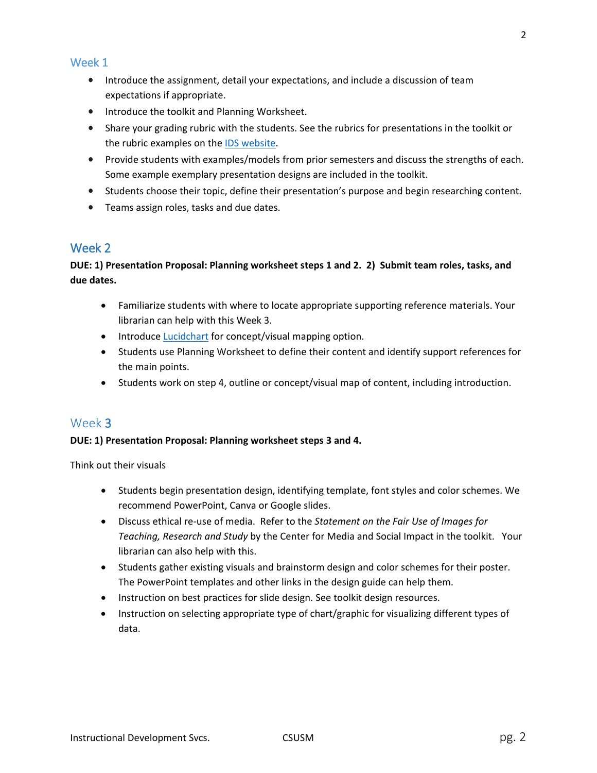#### Week 1

- Introduce the assignment, detail your expectations, and include a discussion of team expectations if appropriate.
- Introduce the toolkit and Planning Worksheet.
- Share your grading rubric with the students. See the rubrics for presentations in the toolkit or the rubric examples on th[e IDS website.](http://www.csusm.edu/ids/course-design-and-instruction/assessment/rubrics1.html)
- Provide students with examples/models from prior semesters and discuss the strengths of each. Some example exemplary presentation designs are included in the toolkit.
- Students choose their topic, define their presentation's purpose and begin researching content.
- Teams assign roles, tasks and due dates.

## Week 2

## **DUE: 1) Presentation Proposal: Planning worksheet steps 1 and 2. 2) Submit team roles, tasks, and due dates.**

- Familiarize students with where to locate appropriate supporting reference materials. Your librarian can help with this Week 3.
- Introduc[e Lucidchart](https://www.lucidchart.com/) for concept/visual mapping option.
- Students use Planning Worksheet to define their content and identify support references for the main points.
- Students work on step 4, outline or concept/visual map of content, including introduction.

## Week 3

#### **DUE: 1) Presentation Proposal: Planning worksheet steps 3 and 4.**

Think out their visuals

- Students begin presentation design, identifying template, font styles and color schemes. We recommend PowerPoint, Canva or Google slides.
- Discuss ethical re-use of media. Refer to the *[Statement on the Fair Use of Images for](http://cmsimpact.org/code/statement-on-the-fair-use-of-images-for-teaching-research-and-study/)  Teaching, Research and Study* [by the Center for Media and Social Impact](http://cmsimpact.org/code/statement-on-the-fair-use-of-images-for-teaching-research-and-study/) in the toolkit. Your librarian can also help with this.
- Students gather existing visuals and brainstorm design and color schemes for their poster. The PowerPoint templates and other links in the design guide can help them.
- Instruction on best practices for slide design. See toolkit design resources.
- Instruction on selecting appropriate type of chart/graphic for visualizing different types of data.